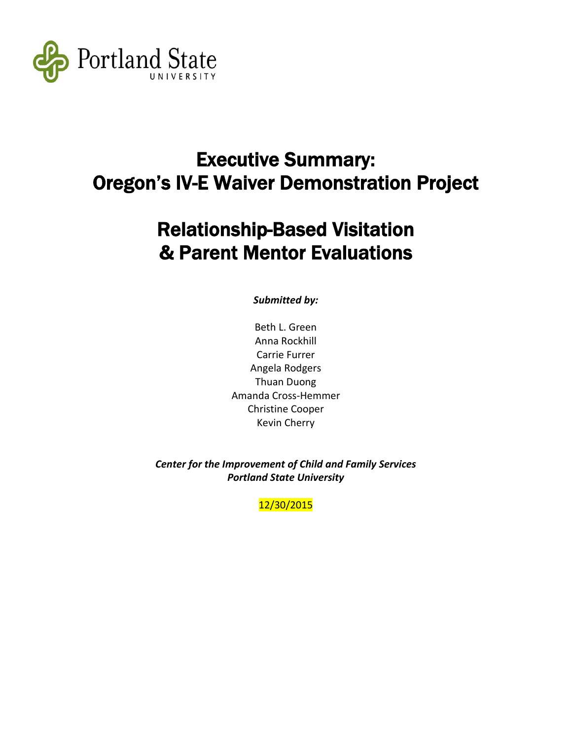

# Executive Summary: Oregon's IV-E Waiver Demonstration Project

# Relationship-Based Visitation & Parent Mentor Evaluations

*Submitted by:*

Beth L. Green Anna Rockhill Carrie Furrer Angela Rodgers Thuan Duong Amanda Cross-Hemmer Christine Cooper Kevin Cherry

*Center for the Improvement of Child and Family Services Portland State University*

12/30/2015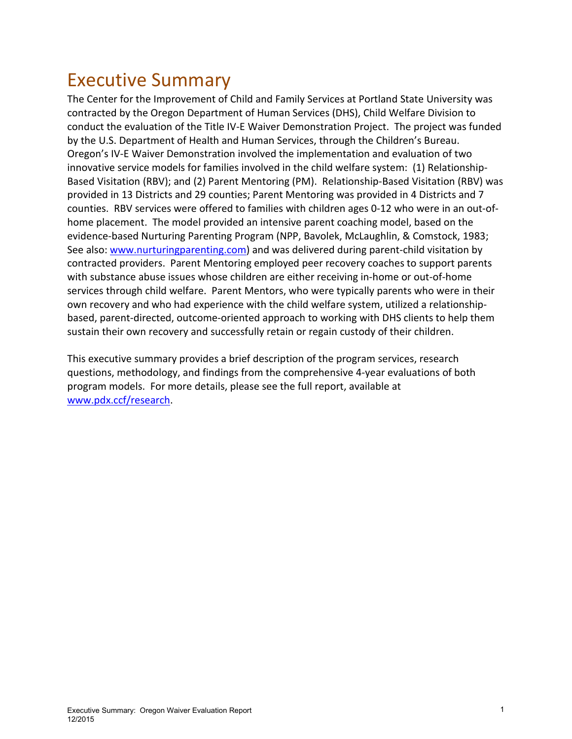# Executive Summary

The Center for the Improvement of Child and Family Services at Portland State University was contracted by the Oregon Department of Human Services (DHS), Child Welfare Division to conduct the evaluation of the Title IV-E Waiver Demonstration Project. The project was funded by the U.S. Department of Health and Human Services, through the Children's Bureau. Oregon's IV-E Waiver Demonstration involved the implementation and evaluation of two innovative service models for families involved in the child welfare system: (1) Relationship-Based Visitation (RBV); and (2) Parent Mentoring (PM). Relationship-Based Visitation (RBV) was provided in 13 Districts and 29 counties; Parent Mentoring was provided in 4 Districts and 7 counties. RBV services were offered to families with children ages 0-12 who were in an out-ofhome placement. The model provided an intensive parent coaching model, based on the evidence-based Nurturing Parenting Program (NPP, Bavolek, McLaughlin, & Comstock, 1983; See also[: www.nurturingparenting.com\)](http://www.nurturingparenting.com/) and was delivered during parent-child visitation by contracted providers. Parent Mentoring employed peer recovery coaches to support parents with substance abuse issues whose children are either receiving in-home or out-of-home services through child welfare. Parent Mentors, who were typically parents who were in their own recovery and who had experience with the child welfare system, utilized a relationshipbased, parent-directed, outcome-oriented approach to working with DHS clients to help them sustain their own recovery and successfully retain or regain custody of their children.

This executive summary provides a brief description of the program services, research questions, methodology, and findings from the comprehensive 4-year evaluations of both program models. For more details, please see the full report, available at [www.pdx.ccf/research.](http://www.pdx.ccf/research)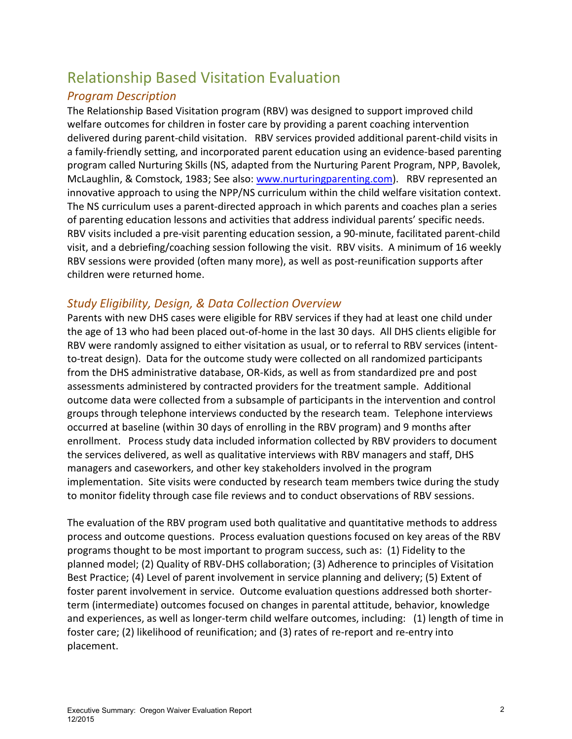# Relationship Based Visitation Evaluation

# *Program Description*

The Relationship Based Visitation program (RBV) was designed to support improved child welfare outcomes for children in foster care by providing a parent coaching intervention delivered during parent-child visitation. RBV services provided additional parent-child visits in a family-friendly setting, and incorporated parent education using an evidence-based parenting program called Nurturing Skills (NS, adapted from the Nurturing Parent Program, NPP, Bavolek, McLaughlin, & Comstock, 1983; See also: [www.nurturingparenting.com\)](http://www.nurturingparenting.com/). RBV represented an innovative approach to using the NPP/NS curriculum within the child welfare visitation context. The NS curriculum uses a parent-directed approach in which parents and coaches plan a series of parenting education lessons and activities that address individual parents' specific needs. RBV visits included a pre-visit parenting education session, a 90-minute, facilitated parent-child visit, and a debriefing/coaching session following the visit. RBV visits. A minimum of 16 weekly RBV sessions were provided (often many more), as well as post-reunification supports after children were returned home.

# *Study Eligibility, Design, & Data Collection Overview*

Parents with new DHS cases were eligible for RBV services if they had at least one child under the age of 13 who had been placed out-of-home in the last 30 days. All DHS clients eligible for RBV were randomly assigned to either visitation as usual, or to referral to RBV services (intentto-treat design). Data for the outcome study were collected on all randomized participants from the DHS administrative database, OR-Kids, as well as from standardized pre and post assessments administered by contracted providers for the treatment sample. Additional outcome data were collected from a subsample of participants in the intervention and control groups through telephone interviews conducted by the research team. Telephone interviews occurred at baseline (within 30 days of enrolling in the RBV program) and 9 months after enrollment. Process study data included information collected by RBV providers to document the services delivered, as well as qualitative interviews with RBV managers and staff, DHS managers and caseworkers, and other key stakeholders involved in the program implementation. Site visits were conducted by research team members twice during the study to monitor fidelity through case file reviews and to conduct observations of RBV sessions.

The evaluation of the RBV program used both qualitative and quantitative methods to address process and outcome questions. Process evaluation questions focused on key areas of the RBV programs thought to be most important to program success, such as: (1) Fidelity to the planned model; (2) Quality of RBV-DHS collaboration; (3) Adherence to principles of Visitation Best Practice; (4) Level of parent involvement in service planning and delivery; (5) Extent of foster parent involvement in service. Outcome evaluation questions addressed both shorterterm (intermediate) outcomes focused on changes in parental attitude, behavior, knowledge and experiences, as well as longer-term child welfare outcomes, including: (1) length of time in foster care; (2) likelihood of reunification; and (3) rates of re-report and re-entry into placement.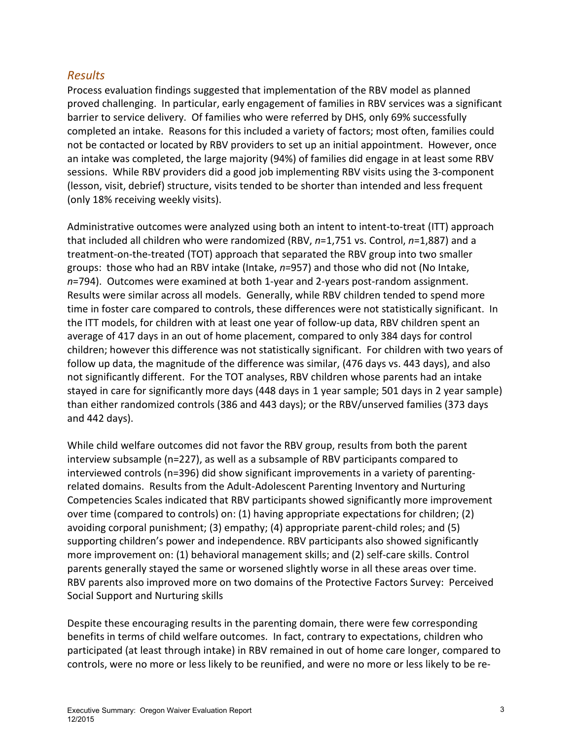## *Results*

Process evaluation findings suggested that implementation of the RBV model as planned proved challenging. In particular, early engagement of families in RBV services was a significant barrier to service delivery. Of families who were referred by DHS, only 69% successfully completed an intake. Reasons for this included a variety of factors; most often, families could not be contacted or located by RBV providers to set up an initial appointment. However, once an intake was completed, the large majority (94%) of families did engage in at least some RBV sessions. While RBV providers did a good job implementing RBV visits using the 3-component (lesson, visit, debrief) structure, visits tended to be shorter than intended and less frequent (only 18% receiving weekly visits).

Administrative outcomes were analyzed using both an intent to intent-to-treat (ITT) approach that included all children who were randomized (RBV, *n*=1,751 vs. Control, *n*=1,887) and a treatment-on-the-treated (TOT) approach that separated the RBV group into two smaller groups: those who had an RBV intake (Intake, *n*=957) and those who did not (No Intake, *n*=794). Outcomes were examined at both 1-year and 2-years post-random assignment. Results were similar across all models. Generally, while RBV children tended to spend more time in foster care compared to controls, these differences were not statistically significant. In the ITT models, for children with at least one year of follow-up data, RBV children spent an average of 417 days in an out of home placement, compared to only 384 days for control children; however this difference was not statistically significant. For children with two years of follow up data, the magnitude of the difference was similar, (476 days vs. 443 days), and also not significantly different. For the TOT analyses, RBV children whose parents had an intake stayed in care for significantly more days (448 days in 1 year sample; 501 days in 2 year sample) than either randomized controls (386 and 443 days); or the RBV/unserved families (373 days and 442 days).

While child welfare outcomes did not favor the RBV group, results from both the parent interview subsample (n=227), as well as a subsample of RBV participants compared to interviewed controls (n=396) did show significant improvements in a variety of parentingrelated domains. Results from the Adult-Adolescent Parenting Inventory and Nurturing Competencies Scales indicated that RBV participants showed significantly more improvement over time (compared to controls) on: (1) having appropriate expectations for children; (2) avoiding corporal punishment; (3) empathy; (4) appropriate parent-child roles; and (5) supporting children's power and independence. RBV participants also showed significantly more improvement on: (1) behavioral management skills; and (2) self-care skills. Control parents generally stayed the same or worsened slightly worse in all these areas over time. RBV parents also improved more on two domains of the Protective Factors Survey: Perceived Social Support and Nurturing skills

Despite these encouraging results in the parenting domain, there were few corresponding benefits in terms of child welfare outcomes. In fact, contrary to expectations, children who participated (at least through intake) in RBV remained in out of home care longer, compared to controls, were no more or less likely to be reunified, and were no more or less likely to be re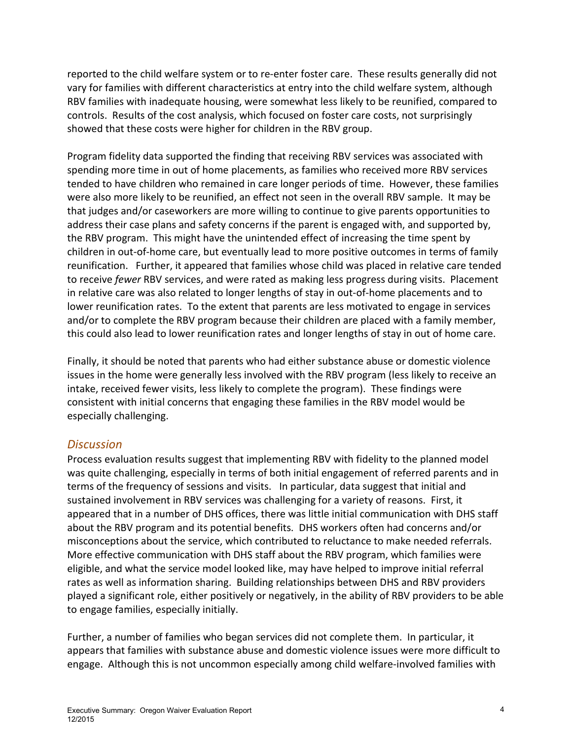reported to the child welfare system or to re-enter foster care. These results generally did not vary for families with different characteristics at entry into the child welfare system, although RBV families with inadequate housing, were somewhat less likely to be reunified, compared to controls. Results of the cost analysis, which focused on foster care costs, not surprisingly showed that these costs were higher for children in the RBV group.

Program fidelity data supported the finding that receiving RBV services was associated with spending more time in out of home placements, as families who received more RBV services tended to have children who remained in care longer periods of time. However, these families were also more likely to be reunified, an effect not seen in the overall RBV sample. It may be that judges and/or caseworkers are more willing to continue to give parents opportunities to address their case plans and safety concerns if the parent is engaged with, and supported by, the RBV program. This might have the unintended effect of increasing the time spent by children in out-of-home care, but eventually lead to more positive outcomes in terms of family reunification. Further, it appeared that families whose child was placed in relative care tended to receive *fewer* RBV services, and were rated as making less progress during visits. Placement in relative care was also related to longer lengths of stay in out-of-home placements and to lower reunification rates. To the extent that parents are less motivated to engage in services and/or to complete the RBV program because their children are placed with a family member, this could also lead to lower reunification rates and longer lengths of stay in out of home care.

Finally, it should be noted that parents who had either substance abuse or domestic violence issues in the home were generally less involved with the RBV program (less likely to receive an intake, received fewer visits, less likely to complete the program). These findings were consistent with initial concerns that engaging these families in the RBV model would be especially challenging.

## *Discussion*

Process evaluation results suggest that implementing RBV with fidelity to the planned model was quite challenging, especially in terms of both initial engagement of referred parents and in terms of the frequency of sessions and visits. In particular, data suggest that initial and sustained involvement in RBV services was challenging for a variety of reasons. First, it appeared that in a number of DHS offices, there was little initial communication with DHS staff about the RBV program and its potential benefits. DHS workers often had concerns and/or misconceptions about the service, which contributed to reluctance to make needed referrals. More effective communication with DHS staff about the RBV program, which families were eligible, and what the service model looked like, may have helped to improve initial referral rates as well as information sharing. Building relationships between DHS and RBV providers played a significant role, either positively or negatively, in the ability of RBV providers to be able to engage families, especially initially.

Further, a number of families who began services did not complete them. In particular, it appears that families with substance abuse and domestic violence issues were more difficult to engage. Although this is not uncommon especially among child welfare-involved families with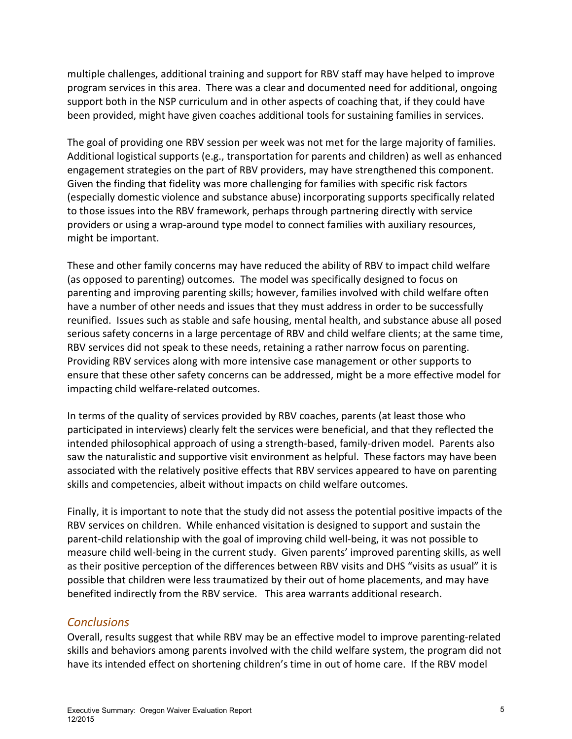multiple challenges, additional training and support for RBV staff may have helped to improve program services in this area. There was a clear and documented need for additional, ongoing support both in the NSP curriculum and in other aspects of coaching that, if they could have been provided, might have given coaches additional tools for sustaining families in services.

The goal of providing one RBV session per week was not met for the large majority of families. Additional logistical supports (e.g., transportation for parents and children) as well as enhanced engagement strategies on the part of RBV providers, may have strengthened this component. Given the finding that fidelity was more challenging for families with specific risk factors (especially domestic violence and substance abuse) incorporating supports specifically related to those issues into the RBV framework, perhaps through partnering directly with service providers or using a wrap-around type model to connect families with auxiliary resources, might be important.

These and other family concerns may have reduced the ability of RBV to impact child welfare (as opposed to parenting) outcomes. The model was specifically designed to focus on parenting and improving parenting skills; however, families involved with child welfare often have a number of other needs and issues that they must address in order to be successfully reunified. Issues such as stable and safe housing, mental health, and substance abuse all posed serious safety concerns in a large percentage of RBV and child welfare clients; at the same time, RBV services did not speak to these needs, retaining a rather narrow focus on parenting. Providing RBV services along with more intensive case management or other supports to ensure that these other safety concerns can be addressed, might be a more effective model for impacting child welfare-related outcomes.

In terms of the quality of services provided by RBV coaches, parents (at least those who participated in interviews) clearly felt the services were beneficial, and that they reflected the intended philosophical approach of using a strength-based, family-driven model. Parents also saw the naturalistic and supportive visit environment as helpful. These factors may have been associated with the relatively positive effects that RBV services appeared to have on parenting skills and competencies, albeit without impacts on child welfare outcomes.

Finally, it is important to note that the study did not assess the potential positive impacts of the RBV services on children. While enhanced visitation is designed to support and sustain the parent-child relationship with the goal of improving child well-being, it was not possible to measure child well-being in the current study. Given parents' improved parenting skills, as well as their positive perception of the differences between RBV visits and DHS "visits as usual" it is possible that children were less traumatized by their out of home placements, and may have benefited indirectly from the RBV service. This area warrants additional research.

### *Conclusions*

Overall, results suggest that while RBV may be an effective model to improve parenting-related skills and behaviors among parents involved with the child welfare system, the program did not have its intended effect on shortening children's time in out of home care. If the RBV model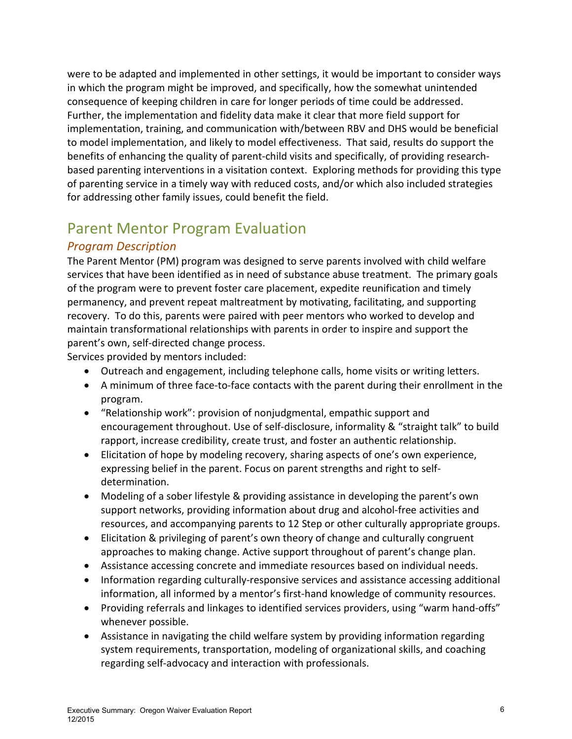were to be adapted and implemented in other settings, it would be important to consider ways in which the program might be improved, and specifically, how the somewhat unintended consequence of keeping children in care for longer periods of time could be addressed. Further, the implementation and fidelity data make it clear that more field support for implementation, training, and communication with/between RBV and DHS would be beneficial to model implementation, and likely to model effectiveness. That said, results do support the benefits of enhancing the quality of parent-child visits and specifically, of providing researchbased parenting interventions in a visitation context. Exploring methods for providing this type of parenting service in a timely way with reduced costs, and/or which also included strategies for addressing other family issues, could benefit the field.

# Parent Mentor Program Evaluation

# *Program Description*

The Parent Mentor (PM) program was designed to serve parents involved with child welfare services that have been identified as in need of substance abuse treatment. The primary goals of the program were to prevent foster care placement, expedite reunification and timely permanency, and prevent repeat maltreatment by motivating, facilitating, and supporting recovery. To do this, parents were paired with peer mentors who worked to develop and maintain transformational relationships with parents in order to inspire and support the parent's own, self-directed change process.

Services provided by mentors included:

- Outreach and engagement, including telephone calls, home visits or writing letters.
- A minimum of three face-to-face contacts with the parent during their enrollment in the program.
- "Relationship work": provision of nonjudgmental, empathic support and encouragement throughout. Use of self-disclosure, informality & "straight talk" to build rapport, increase credibility, create trust, and foster an authentic relationship.
- Elicitation of hope by modeling recovery, sharing aspects of one's own experience, expressing belief in the parent. Focus on parent strengths and right to selfdetermination.
- Modeling of a sober lifestyle & providing assistance in developing the parent's own support networks, providing information about drug and alcohol-free activities and resources, and accompanying parents to 12 Step or other culturally appropriate groups.
- Elicitation & privileging of parent's own theory of change and culturally congruent approaches to making change. Active support throughout of parent's change plan.
- Assistance accessing concrete and immediate resources based on individual needs.
- Information regarding culturally-responsive services and assistance accessing additional information, all informed by a mentor's first-hand knowledge of community resources.
- Providing referrals and linkages to identified services providers, using "warm hand-offs" whenever possible.
- Assistance in navigating the child welfare system by providing information regarding system requirements, transportation, modeling of organizational skills, and coaching regarding self-advocacy and interaction with professionals.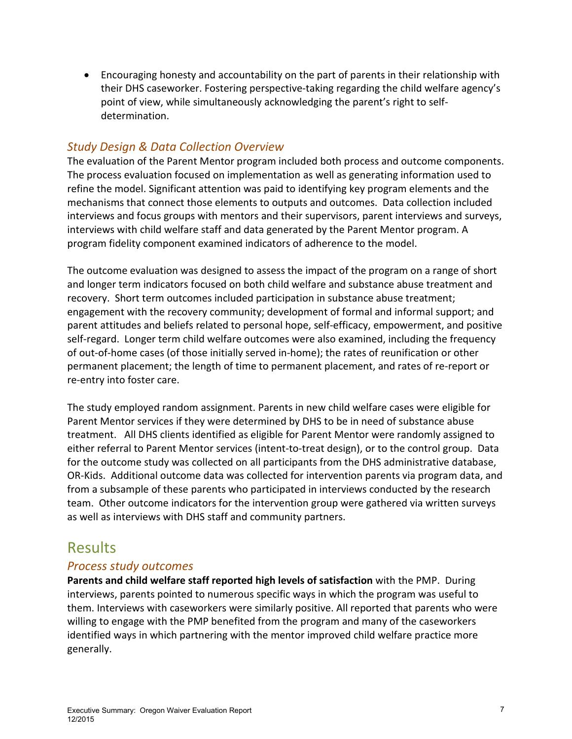• Encouraging honesty and accountability on the part of parents in their relationship with their DHS caseworker. Fostering perspective-taking regarding the child welfare agency's point of view, while simultaneously acknowledging the parent's right to selfdetermination.

# *Study Design & Data Collection Overview*

The evaluation of the Parent Mentor program included both process and outcome components. The process evaluation focused on implementation as well as generating information used to refine the model. Significant attention was paid to identifying key program elements and the mechanisms that connect those elements to outputs and outcomes. Data collection included interviews and focus groups with mentors and their supervisors, parent interviews and surveys, interviews with child welfare staff and data generated by the Parent Mentor program. A program fidelity component examined indicators of adherence to the model.

The outcome evaluation was designed to assess the impact of the program on a range of short and longer term indicators focused on both child welfare and substance abuse treatment and recovery. Short term outcomes included participation in substance abuse treatment; engagement with the recovery community; development of formal and informal support; and parent attitudes and beliefs related to personal hope, self-efficacy, empowerment, and positive self-regard. Longer term child welfare outcomes were also examined, including the frequency of out-of-home cases (of those initially served in-home); the rates of reunification or other permanent placement; the length of time to permanent placement, and rates of re-report or re-entry into foster care.

The study employed random assignment. Parents in new child welfare cases were eligible for Parent Mentor services if they were determined by DHS to be in need of substance abuse treatment. All DHS clients identified as eligible for Parent Mentor were randomly assigned to either referral to Parent Mentor services (intent-to-treat design), or to the control group. Data for the outcome study was collected on all participants from the DHS administrative database, OR-Kids. Additional outcome data was collected for intervention parents via program data, and from a subsample of these parents who participated in interviews conducted by the research team. Other outcome indicators for the intervention group were gathered via written surveys as well as interviews with DHS staff and community partners.

# **Results**

## *Process study outcomes*

**Parents and child welfare staff reported high levels of satisfaction** with the PMP. During interviews, parents pointed to numerous specific ways in which the program was useful to them. Interviews with caseworkers were similarly positive. All reported that parents who were willing to engage with the PMP benefited from the program and many of the caseworkers identified ways in which partnering with the mentor improved child welfare practice more generally.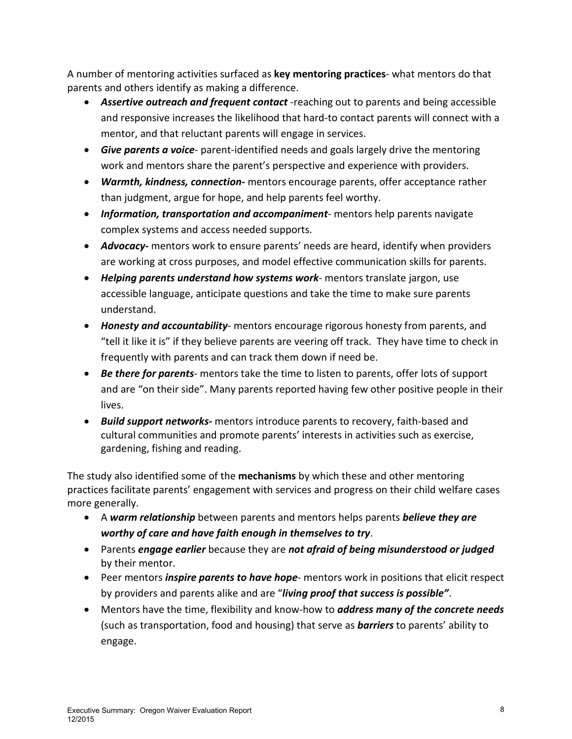A number of mentoring activities surfaced as **key mentoring practices**- what mentors do that parents and others identify as making a difference.

- *Assertive outreach and frequent contact* -reaching out to parents and being accessible and responsive increases the likelihood that hard-to contact parents will connect with a mentor, and that reluctant parents will engage in services.
- *Give parents a voice* parent-identified needs and goals largely drive the mentoring work and mentors share the parent's perspective and experience with providers.
- *Warmth, kindness, connection-* mentors encourage parents, offer acceptance rather than judgment, argue for hope, and help parents feel worthy.
- *Information, transportation and accompaniment* mentors help parents navigate complex systems and access needed supports.
- *Advocacy-* mentors work to ensure parents' needs are heard, identify when providers are working at cross purposes, and model effective communication skills for parents.
- *Helping parents understand how systems work* mentors translate jargon, use accessible language, anticipate questions and take the time to make sure parents understand.
- *Honesty and accountability* mentors encourage rigorous honesty from parents, and "tell it like it is" if they believe parents are veering off track. They have time to check in frequently with parents and can track them down if need be.
- *Be there for parents* mentors take the time to listen to parents, offer lots of support and are "on their side". Many parents reported having few other positive people in their lives.
- *Build support networks-* mentors introduce parents to recovery, faith-based and cultural communities and promote parents' interests in activities such as exercise, gardening, fishing and reading.

The study also identified some of the **mechanisms** by which these and other mentoring practices facilitate parents' engagement with services and progress on their child welfare cases more generally.

- A *warm relationship* between parents and mentors helps parents *believe they are worthy of care and have faith enough in themselves to try*.
- Parents *engage earlier* because they are *not afraid of being misunderstood or judged* by their mentor.
- Peer mentors *inspire parents to have hope* mentors work in positions that elicit respect by providers and parents alike and are "*living proof that success is possible"*.
- Mentors have the time, flexibility and know-how to *address many of the concrete needs* (such as transportation, food and housing) that serve as *barriers* to parents' ability to engage.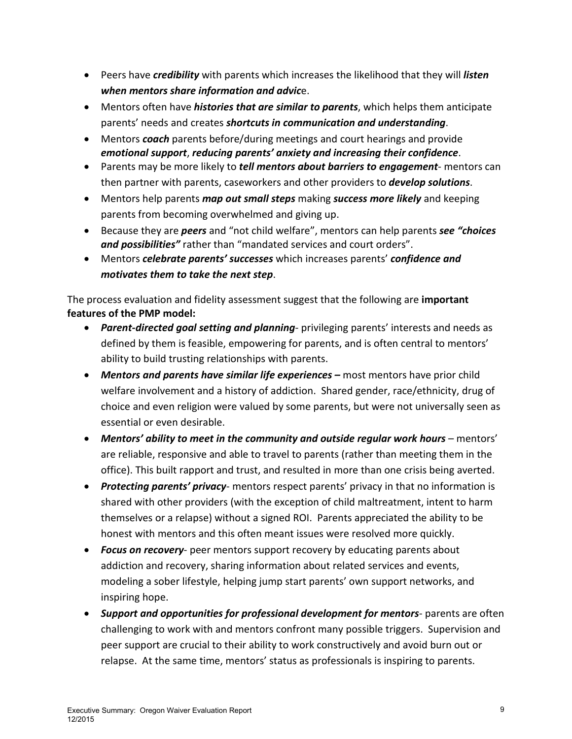- Peers have *credibility* with parents which increases the likelihood that they will *listen when mentors share information and advic*e.
- Mentors often have *histories that are similar to parents*, which helps them anticipate parents' needs and creates *shortcuts in communication and understanding*.
- Mentors *coach* parents before/during meetings and court hearings and provide *emotional support*, *reducing parents' anxiety and increasing their confidence*.
- Parents may be more likely to *tell mentors about barriers to engagement* mentors can then partner with parents, caseworkers and other providers to *develop solutions*.
- Mentors help parents *map out small steps* making *success more likely* and keeping parents from becoming overwhelmed and giving up.
- Because they are *peers* and "not child welfare", mentors can help parents *see "choices and possibilities"* rather than "mandated services and court orders".
- Mentors *celebrate parents' successes* which increases parents' *confidence and motivates them to take the next step*.

The process evaluation and fidelity assessment suggest that the following are **important features of the PMP model:** 

- *Parent-directed goal setting and planning* privileging parents' interests and needs as defined by them is feasible, empowering for parents, and is often central to mentors' ability to build trusting relationships with parents.
- *Mentors and parents have similar life experiences –* **most mentors have prior child** welfare involvement and a history of addiction. Shared gender, race/ethnicity, drug of choice and even religion were valued by some parents, but were not universally seen as essential or even desirable.
- *Mentors' ability to meet in the community and outside regular work hours* mentors' are reliable, responsive and able to travel to parents (rather than meeting them in the office). This built rapport and trust, and resulted in more than one crisis being averted.
- *Protecting parents' privacy* mentors respect parents' privacy in that no information is shared with other providers (with the exception of child maltreatment, intent to harm themselves or a relapse) without a signed ROI. Parents appreciated the ability to be honest with mentors and this often meant issues were resolved more quickly.
- *Focus on recovery* peer mentors support recovery by educating parents about addiction and recovery, sharing information about related services and events, modeling a sober lifestyle, helping jump start parents' own support networks, and inspiring hope.
- *Support and opportunities for professional development for mentors* parents are often challenging to work with and mentors confront many possible triggers. Supervision and peer support are crucial to their ability to work constructively and avoid burn out or relapse. At the same time, mentors' status as professionals is inspiring to parents.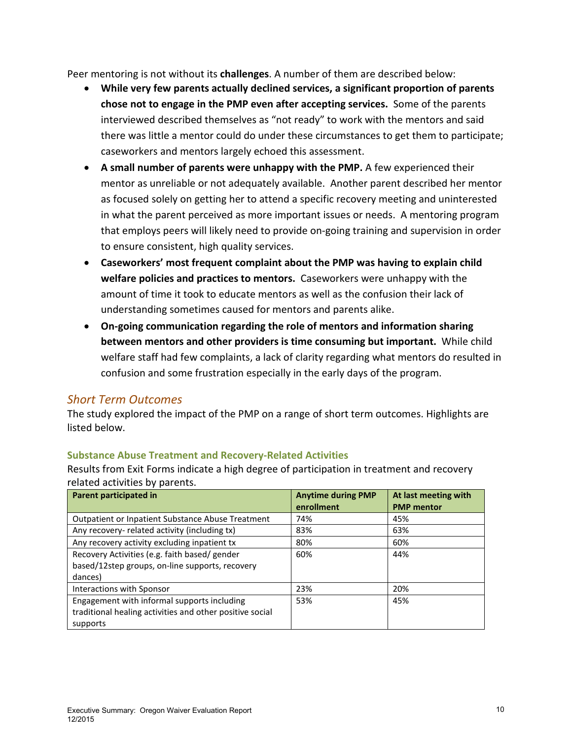Peer mentoring is not without its **challenges**. A number of them are described below:

- **While very few parents actually declined services, a significant proportion of parents chose not to engage in the PMP even after accepting services.** Some of the parents interviewed described themselves as "not ready" to work with the mentors and said there was little a mentor could do under these circumstances to get them to participate; caseworkers and mentors largely echoed this assessment.
- **A small number of parents were unhappy with the PMP.** A few experienced their mentor as unreliable or not adequately available. Another parent described her mentor as focused solely on getting her to attend a specific recovery meeting and uninterested in what the parent perceived as more important issues or needs. A mentoring program that employs peers will likely need to provide on-going training and supervision in order to ensure consistent, high quality services.
- **Caseworkers' most frequent complaint about the PMP was having to explain child welfare policies and practices to mentors.** Caseworkers were unhappy with the amount of time it took to educate mentors as well as the confusion their lack of understanding sometimes caused for mentors and parents alike.
- **On-going communication regarding the role of mentors and information sharing between mentors and other providers is time consuming but important.** While child welfare staff had few complaints, a lack of clarity regarding what mentors do resulted in confusion and some frustration especially in the early days of the program.

## *Short Term Outcomes*

The study explored the impact of the PMP on a range of short term outcomes. Highlights are listed below.

#### **Substance Abuse Treatment and Recovery-Related Activities**

Results from Exit Forms indicate a high degree of participation in treatment and recovery related activities by parents.

| Parent participated in                                   | <b>Anytime during PMP</b><br>enrollment | At last meeting with<br><b>PMP</b> mentor |
|----------------------------------------------------------|-----------------------------------------|-------------------------------------------|
| <b>Outpatient or Inpatient Substance Abuse Treatment</b> | 74%                                     | 45%                                       |
| Any recovery- related activity (including tx)            | 83%                                     | 63%                                       |
| Any recovery activity excluding inpatient tx             | 80%                                     | 60%                                       |
| Recovery Activities (e.g. faith based/ gender            | 60%                                     | 44%                                       |
| based/12step groups, on-line supports, recovery          |                                         |                                           |
| dances)                                                  |                                         |                                           |
| Interactions with Sponsor                                | 23%                                     | 20%                                       |
| Engagement with informal supports including              | 53%                                     | 45%                                       |
| traditional healing activities and other positive social |                                         |                                           |
| supports                                                 |                                         |                                           |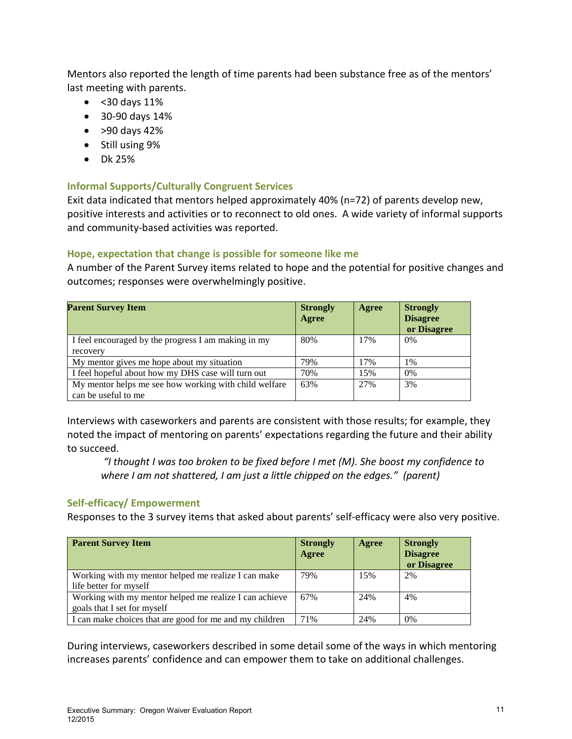Mentors also reported the length of time parents had been substance free as of the mentors' last meeting with parents.

- <30 days 11%
- 30-90 days 14%
- $\bullet$  > 90 days 42%
- Still using 9%
- Dk 25%

#### **Informal Supports/Culturally Congruent Services**

Exit data indicated that mentors helped approximately 40% (n=72) of parents develop new, positive interests and activities or to reconnect to old ones. A wide variety of informal supports and community-based activities was reported.

### **Hope, expectation that change is possible for someone like me**

A number of the Parent Survey items related to hope and the potential for positive changes and outcomes; responses were overwhelmingly positive.

| <b>Parent Survey Item</b>                             | <b>Strongly</b><br>Agree | Agree | <b>Strongly</b><br><b>Disagree</b><br>or Disagree |
|-------------------------------------------------------|--------------------------|-------|---------------------------------------------------|
| I feel encouraged by the progress I am making in my   | 80%                      | 17%   | $0\%$                                             |
| recovery                                              |                          |       |                                                   |
| My mentor gives me hope about my situation            | 79%                      | 17%   | 1%                                                |
| I feel hopeful about how my DHS case will turn out    | 70%                      | 15%   | $0\%$                                             |
| My mentor helps me see how working with child welfare | 63%                      | 27%   | 3%                                                |
| can be useful to me                                   |                          |       |                                                   |

Interviews with caseworkers and parents are consistent with those results; for example, they noted the impact of mentoring on parents' expectations regarding the future and their ability to succeed.

*"I thought I was too broken to be fixed before I met (M). She boost my confidence to where I am not shattered, I am just a little chipped on the edges." (parent)* 

### **Self-efficacy/ Empowerment**

Responses to the 3 survey items that asked about parents' self-efficacy were also very positive.

| <b>Parent Survey Item</b>                               | <b>Strongly</b><br>Agree | Agree | <b>Strongly</b><br><b>Disagree</b><br>or Disagree |
|---------------------------------------------------------|--------------------------|-------|---------------------------------------------------|
| Working with my mentor helped me realize I can make     | 79%                      | 15%   | 2%                                                |
| life better for myself                                  |                          |       |                                                   |
| Working with my mentor helped me realize I can achieve  | 67%                      | 24%   | 4%                                                |
| goals that I set for myself                             |                          |       |                                                   |
| I can make choices that are good for me and my children | 71%                      | 24%   | 0%                                                |

During interviews, caseworkers described in some detail some of the ways in which mentoring increases parents' confidence and can empower them to take on additional challenges.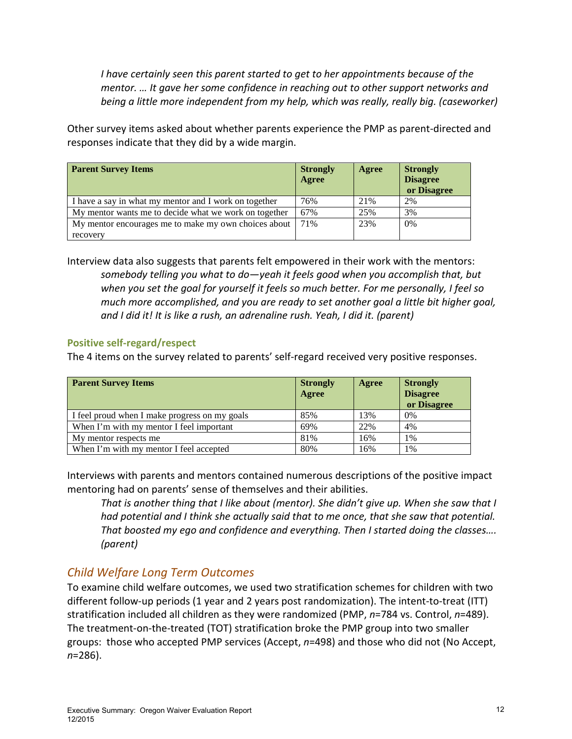*I have certainly seen this parent started to get to her appointments because of the mentor. … It gave her some confidence in reaching out to other support networks and being a little more independent from my help, which was really, really big. (caseworker)* 

Other survey items asked about whether parents experience the PMP as parent-directed and responses indicate that they did by a wide margin.

| <b>Parent Survey Items</b>                            | <b>Strongly</b><br>Agree | Agree | <b>Strongly</b><br><b>Disagree</b><br>or Disagree |
|-------------------------------------------------------|--------------------------|-------|---------------------------------------------------|
| I have a say in what my mentor and I work on together | 76%                      | 21%   | 2%                                                |
| My mentor wants me to decide what we work on together | 67%                      | 25%   | 3%                                                |
| My mentor encourages me to make my own choices about  | 71%                      | 23%   | 0%                                                |
| recovery                                              |                          |       |                                                   |

Interview data also suggests that parents felt empowered in their work with the mentors: *somebody telling you what to do—yeah it feels good when you accomplish that, but when you set the goal for yourself it feels so much better. For me personally, I feel so much more accomplished, and you are ready to set another goal a little bit higher goal, and I did it! It is like a rush, an adrenaline rush. Yeah, I did it. (parent)* 

### **Positive self-regard/respect**

The 4 items on the survey related to parents' self-regard received very positive responses.

| <b>Parent Survey Items</b>                    | <b>Strongly</b><br>Agree | Agree | <b>Strongly</b><br><b>Disagree</b><br>or Disagree |
|-----------------------------------------------|--------------------------|-------|---------------------------------------------------|
| I feel proud when I make progress on my goals | 85%                      | 13%   | 0%                                                |
| When I'm with my mentor I feel important      | 69%                      | 22%   | 4%                                                |
| My mentor respects me                         | 81%                      | 16%   | $1\%$                                             |
| When I'm with my mentor I feel accepted       | 80%                      | 16%   | 1%                                                |

Interviews with parents and mentors contained numerous descriptions of the positive impact mentoring had on parents' sense of themselves and their abilities.

*That is another thing that I like about (mentor). She didn't give up. When she saw that I had potential and I think she actually said that to me once, that she saw that potential. That boosted my ego and confidence and everything. Then I started doing the classes…. (parent)* 

# *Child Welfare Long Term Outcomes*

To examine child welfare outcomes, we used two stratification schemes for children with two different follow-up periods (1 year and 2 years post randomization). The intent-to-treat (ITT) stratification included all children as they were randomized (PMP, *n*=784 vs. Control, *n*=489). The treatment-on-the-treated (TOT) stratification broke the PMP group into two smaller groups: those who accepted PMP services (Accept, *n*=498) and those who did not (No Accept, *n*=286).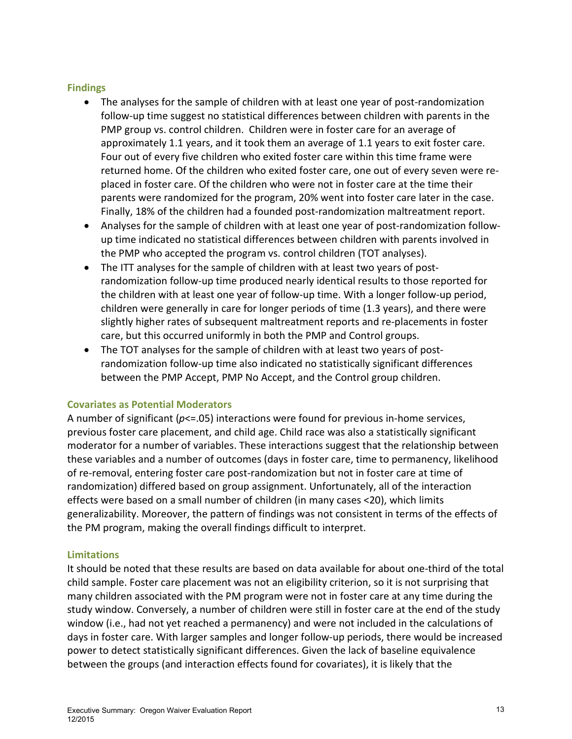#### **Findings**

- The analyses for the sample of children with at least one year of post-randomization follow-up time suggest no statistical differences between children with parents in the PMP group vs. control children. Children were in foster care for an average of approximately 1.1 years, and it took them an average of 1.1 years to exit foster care. Four out of every five children who exited foster care within this time frame were returned home. Of the children who exited foster care, one out of every seven were replaced in foster care. Of the children who were not in foster care at the time their parents were randomized for the program, 20% went into foster care later in the case. Finally, 18% of the children had a founded post-randomization maltreatment report.
- Analyses for the sample of children with at least one year of post-randomization followup time indicated no statistical differences between children with parents involved in the PMP who accepted the program vs. control children (TOT analyses).
- The ITT analyses for the sample of children with at least two years of postrandomization follow-up time produced nearly identical results to those reported for the children with at least one year of follow-up time. With a longer follow-up period, children were generally in care for longer periods of time (1.3 years), and there were slightly higher rates of subsequent maltreatment reports and re-placements in foster care, but this occurred uniformly in both the PMP and Control groups.
- The TOT analyses for the sample of children with at least two years of postrandomization follow-up time also indicated no statistically significant differences between the PMP Accept, PMP No Accept, and the Control group children.

#### **Covariates as Potential Moderators**

A number of significant ( $p \le 0.05$ ) interactions were found for previous in-home services, previous foster care placement, and child age. Child race was also a statistically significant moderator for a number of variables. These interactions suggest that the relationship between these variables and a number of outcomes (days in foster care, time to permanency, likelihood of re-removal, entering foster care post-randomization but not in foster care at time of randomization) differed based on group assignment. Unfortunately, all of the interaction effects were based on a small number of children (in many cases <20), which limits generalizability. Moreover, the pattern of findings was not consistent in terms of the effects of the PM program, making the overall findings difficult to interpret.

### **Limitations**

It should be noted that these results are based on data available for about one-third of the total child sample. Foster care placement was not an eligibility criterion, so it is not surprising that many children associated with the PM program were not in foster care at any time during the study window. Conversely, a number of children were still in foster care at the end of the study window (i.e., had not yet reached a permanency) and were not included in the calculations of days in foster care. With larger samples and longer follow-up periods, there would be increased power to detect statistically significant differences. Given the lack of baseline equivalence between the groups (and interaction effects found for covariates), it is likely that the